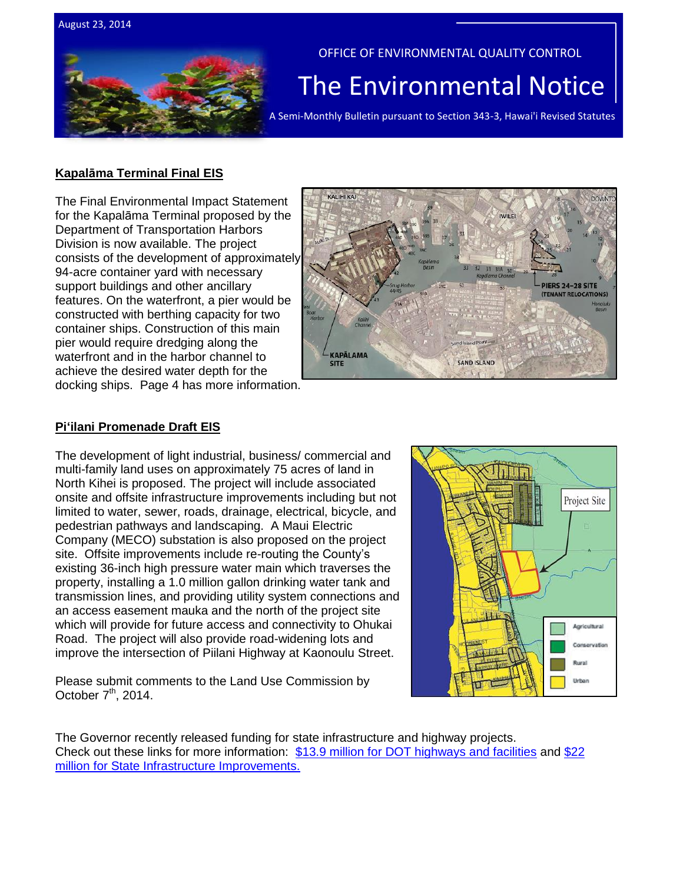



OFFICE OF ENVIRONMENTAL QUALITY CONTROL

# The Environmental Notice

A Semi-Monthly Bulletin pursuant to Section 343-3, Hawai'i Revised Statutes

#### **Kapalāma Terminal Final EIS**

The Final Environmental Impact Statement for the Kapalāma Terminal proposed by the Department of Transportation Harbors Division is now available. The project consists of the development of approximately 94-acre container yard with necessary support buildings and other ancillary features. On the waterfront, a pier would be constructed with berthing capacity for two container ships. Construction of this main pier would require dredging along the waterfront and in the harbor channel to achieve the desired water depth for the docking ships. Page 4 has more information.



### **Pi'ilani Promenade Draft EIS**

The development of light industrial, business/ commercial and multi-family land uses on approximately 75 acres of land in North Kihei is proposed. The project will include associated onsite and offsite infrastructure improvements including but not limited to water, sewer, roads, drainage, electrical, bicycle, and pedestrian pathways and landscaping. A Maui Electric Company (MECO) substation is also proposed on the project site. Offsite improvements include re-routing the County's existing 36-inch high pressure water main which traverses the property, installing a 1.0 million gallon drinking water tank and transmission lines, and providing utility system connections and an access easement mauka and the north of the project site which will provide for future access and connectivity to Ohukai Road. The project will also provide road-widening lots and improve the intersection of Piilani Highway at Kaonoulu Street.

Please submit comments to the Land Use Commission by October  $7<sup>th</sup>$ , 2014.



The Governor recently released funding for state infrastructure and highway projects. Check out these links for more information: [\\$13.9 million for DOT highways and facilities](http://governor.hawaii.gov/blog/governor-releases-13-9-million-for-dot-highways-facilities/) and [\\$22](http://governor.hawaii.gov/blog/governor-releases-22-million-for-state-infrastructure-improvements/)  [million for State Infrastructure Improvements.](http://governor.hawaii.gov/blog/governor-releases-22-million-for-state-infrastructure-improvements/)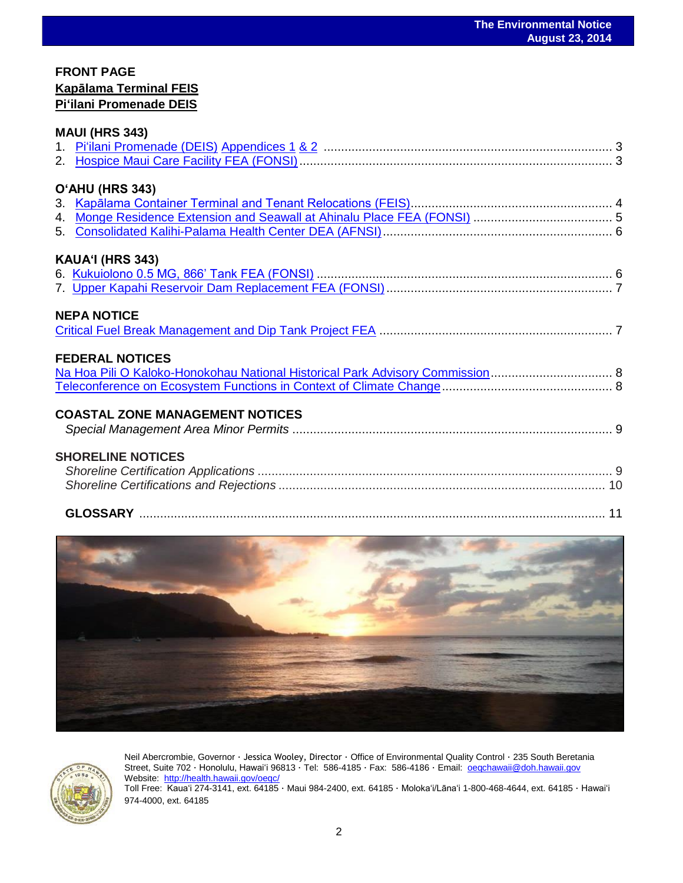## **FRONT PAGE Kapālama Terminal FEIS Pi'ilani Promenade DEIS**

| <b>MAUI (HRS 343)</b>                                                                                    |  |
|----------------------------------------------------------------------------------------------------------|--|
|                                                                                                          |  |
|                                                                                                          |  |
| O'AHU (HRS 343)                                                                                          |  |
|                                                                                                          |  |
|                                                                                                          |  |
|                                                                                                          |  |
| KAUA'I (HRS 343)                                                                                         |  |
|                                                                                                          |  |
|                                                                                                          |  |
| <b>FEDERAL NOTICES</b><br>Na Hoa Pili O Kaloko-Honokohau National Historical Park Advisory Commission  8 |  |
| <b>COASTAL ZONE MANAGEMENT NOTICES</b>                                                                   |  |
| <b>SHORELINE NOTICES</b>                                                                                 |  |
|                                                                                                          |  |
|                                                                                                          |  |





Neil Abercrombie, Governor · Jessica Wooley, Director · Office of Environmental Quality Control · 235 South Beretania Street, Suite 702 · Honolulu, Hawaiʻi 96813 · Tel: 586-4185 · Fax: 586-4186 · Email: oegchawaii@doh.hawaii.gov Website:<http://health.hawaii.gov/oeqc/> Toll Free: Kauaʻi 274-3141, ext. 64185 · Maui 984-2400, ext. 64185 · Molokaʻi/Lānaʻi 1-800-468-4644, ext. 64185 · Hawaiʻi

974-4000, ext. 64185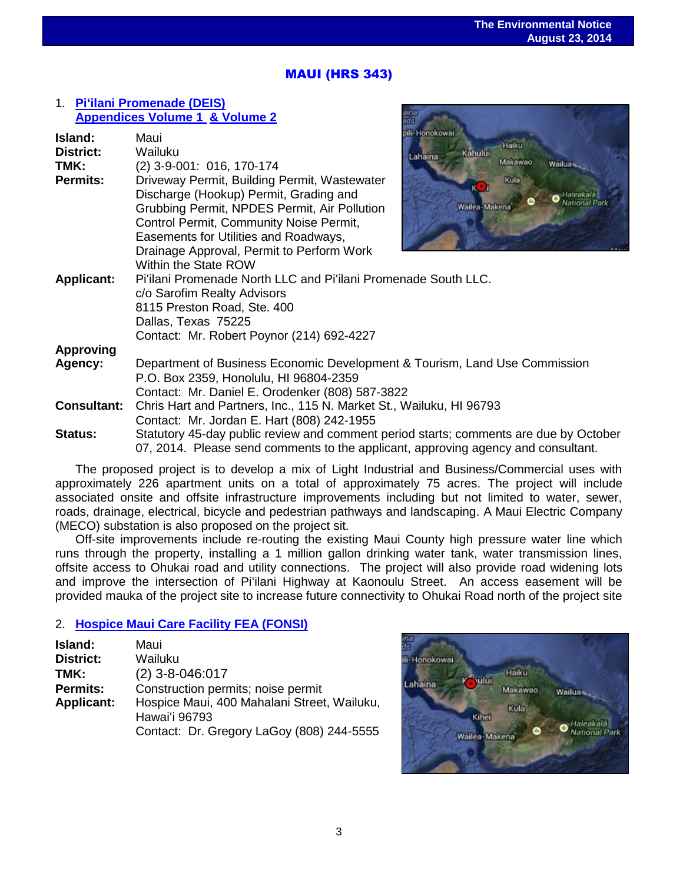## MAUI (HRS 343)

#### 1. **[Pi'ilani Promenade \(DEIS\)](http://oeqc.doh.hawaii.gov/Shared%20Documents/EA_and_EIS_Online_Library/Maui/2010s/2014-08-23-MA-5E-DEIS-Piilani-Promenade.pdf) [Appendices Volume 1](http://oeqc.doh.hawaii.gov/Shared%20Documents/EA_and_EIS_Online_Library/Maui/2010s/2014-08-26-MA-5E-DEIS-Piilani-Promenade-Appendix-B-H.pdf) [& Volume 2](http://oeqc.doh.hawaii.gov/Shared%20Documents/EA_and_EIS_Online_Library/Maui/2010s/2014-08-23-MA-5E-DEIS-Piilani-Promenade-Appendix-I-N.pdf)**

| Island:            | Maui                                                                                  | pili-Honokowai              |
|--------------------|---------------------------------------------------------------------------------------|-----------------------------|
| <b>District:</b>   | Wailuku                                                                               | Haiku<br>Kahului<br>Lahaina |
| TMK:               | (2) 3-9-001: 016, 170-174                                                             | Makawao<br>Wailua-          |
| <b>Permits:</b>    | Driveway Permit, Building Permit, Wastewater                                          | Kula                        |
|                    | Discharge (Hookup) Permit, Grading and                                                | <b>KLI</b>                  |
|                    | Grubbing Permit, NPDES Permit, Air Pollution                                          | Wailea-Makena               |
|                    | Control Permit, Community Noise Permit,                                               |                             |
|                    | Easements for Utilities and Roadways,                                                 |                             |
|                    | Drainage Approval, Permit to Perform Work                                             |                             |
|                    | Within the State ROW                                                                  |                             |
| <b>Applicant:</b>  | Pi'ilani Promenade North LLC and Pi'ilani Promenade South LLC.                        |                             |
|                    | c/o Sarofim Realty Advisors                                                           |                             |
|                    | 8115 Preston Road, Ste. 400                                                           |                             |
|                    | Dallas, Texas 75225                                                                   |                             |
|                    | Contact: Mr. Robert Poynor (214) 692-4227                                             |                             |
| <b>Approving</b>   |                                                                                       |                             |
| Agency:            | Department of Business Economic Development & Tourism, Land Use Commission            |                             |
|                    | P.O. Box 2359, Honolulu, HI 96804-2359                                                |                             |
|                    | Contact: Mr. Daniel E. Orodenker (808) 587-3822                                       |                             |
| <b>Consultant:</b> | Chris Hart and Partners, Inc., 115 N. Market St., Wailuku, HI 96793                   |                             |
|                    | Contact: Mr. Jordan E. Hart (808) 242-1955                                            |                             |
| <b>Status:</b>     | Statutory 45-day public review and comment period starts; comments are due by October |                             |
|                    | 07, 2014. Please send comments to the applicant, approving agency and consultant.     |                             |

The proposed project is to develop a mix of Light Industrial and Business/Commercial uses with approximately 226 apartment units on a total of approximately 75 acres. The project will include associated onsite and offsite infrastructure improvements including but not limited to water, sewer, roads, drainage, electrical, bicycle and pedestrian pathways and landscaping. A Maui Electric Company (MECO) substation is also proposed on the project sit.

Off-site improvements include re-routing the existing Maui County high pressure water line which runs through the property, installing a 1 million gallon drinking water tank, water transmission lines, offsite access to Ohukai road and utility connections. The project will also provide road widening lots and improve the intersection of Pi'ilani Highway at Kaonoulu Street. An access easement will be provided mauka of the project site to increase future connectivity to Ohukai Road north of the project site

### 2. **[Hospice Maui Care Facility](http://oeqc.doh.hawaii.gov/Shared%20Documents/EA_and_EIS_Online_Library/Maui/2010s/2014-08-23-MA-5E-FEA-Hospice-Maui-Care-Facility.pdf) FEA (FONSI)**

| Island:           | Maui                                        |
|-------------------|---------------------------------------------|
| <b>District:</b>  | Wailuku                                     |
| TMK:              | $(2)$ 3-8-046:017                           |
| <b>Permits:</b>   | Construction permits; noise permit          |
| <b>Applicant:</b> | Hospice Maui, 400 Mahalani Street, Wailuku, |
|                   | Hawai'i 96793                               |
|                   | Contact: Dr. Gregory LaGoy (808) 244-5555   |

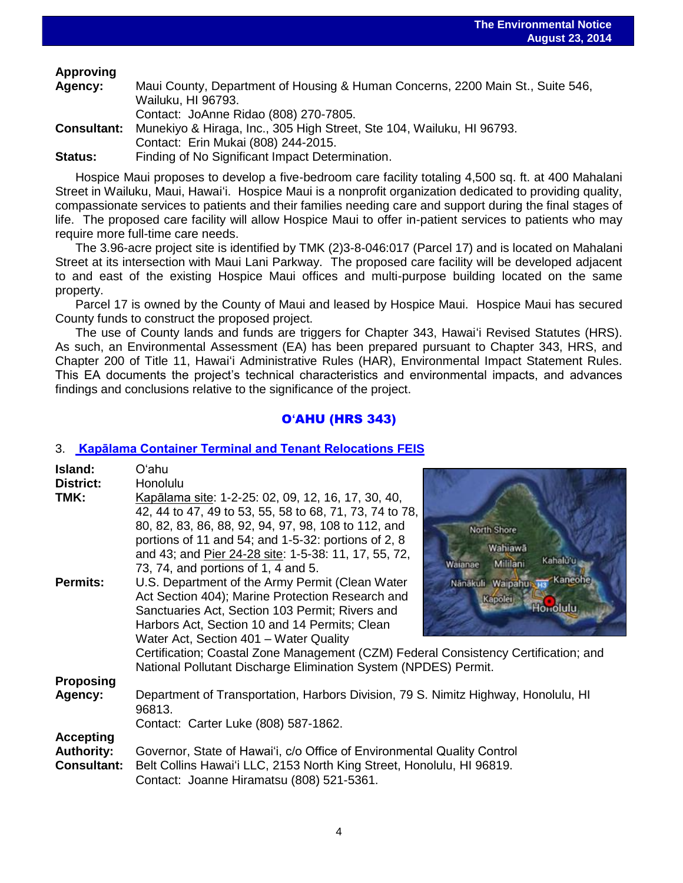## **Approving**

| Agency:            | Maui County, Department of Housing & Human Concerns, 2200 Main St., Suite 546, |
|--------------------|--------------------------------------------------------------------------------|
|                    | Wailuku, HI 96793.                                                             |
|                    | Contact: JoAnne Ridao (808) 270-7805.                                          |
| <b>Consultant:</b> | Munekiyo & Hiraga, Inc., 305 High Street, Ste 104, Wailuku, HI 96793.          |
|                    | Contact: Erin Mukai (808) 244-2015.                                            |
| <b>Status:</b>     | Finding of No Significant Impact Determination.                                |

Hospice Maui proposes to develop a five-bedroom care facility totaling 4,500 sq. ft. at 400 Mahalani Street in Wailuku, Maui, Hawaiʻi. Hospice Maui is a nonprofit organization dedicated to providing quality, compassionate services to patients and their families needing care and support during the final stages of life. The proposed care facility will allow Hospice Maui to offer in-patient services to patients who may require more full-time care needs.

The 3.96-acre project site is identified by TMK (2)3-8-046:017 (Parcel 17) and is located on Mahalani Street at its intersection with Maui Lani Parkway. The proposed care facility will be developed adjacent to and east of the existing Hospice Maui offices and multi-purpose building located on the same property.

Parcel 17 is owned by the County of Maui and leased by Hospice Maui. Hospice Maui has secured County funds to construct the proposed project.

The use of County lands and funds are triggers for Chapter 343, Hawaiʻi Revised Statutes (HRS). As such, an Environmental Assessment (EA) has been prepared pursuant to Chapter 343, HRS, and Chapter 200 of Title 11, Hawaiʻi Administrative Rules (HAR), Environmental Impact Statement Rules. This EA documents the project's technical characteristics and environmental impacts, and advances findings and conclusions relative to the significance of the project.

## O**'**AHU (HRS 343)

## 3. **[Kapālama Container Terminal and Tenant Relocations](http://oeqc.doh.hawaii.gov/Shared%20Documents/EA_and_EIS_Online_Library/Oahu/2010s/2014-08-23-OA-5B-FEIS-Kapalama-Container-Terminal.pdf) FEIS**

| Island:            | Oʻahu                                                                                        |                                 |
|--------------------|----------------------------------------------------------------------------------------------|---------------------------------|
| <b>District:</b>   | Honolulu                                                                                     |                                 |
| TMK:               | Kapālama site: 1-2-25: 02, 09, 12, 16, 17, 30, 40,                                           |                                 |
|                    | 42, 44 to 47, 49 to 53, 55, 58 to 68, 71, 73, 74 to 78,                                      |                                 |
|                    | 80, 82, 83, 86, 88, 92, 94, 97, 98, 108 to 112, and                                          | North Shore                     |
|                    | portions of 11 and 54; and $1-5-32$ : portions of 2, 8                                       |                                 |
|                    | and 43; and Pier 24-28 site: 1-5-38: 11, 17, 55, 72,                                         | Wahiawā<br>Kahalu'u             |
|                    | 73, 74, and portions of 1, 4 and 5.                                                          | Mililani<br>Waianae             |
| <b>Permits:</b>    | U.S. Department of the Army Permit (Clean Water                                              | Kaneohe<br>Nänäkuli Waipahus H: |
|                    | Act Section 404); Marine Protection Research and                                             | Kapolei                         |
|                    | Sanctuaries Act, Section 103 Permit; Rivers and                                              |                                 |
|                    | Harbors Act, Section 10 and 14 Permits; Clean                                                |                                 |
|                    | Water Act, Section 401 - Water Quality                                                       |                                 |
|                    | Certification; Coastal Zone Management (CZM) Federal Consistency Certification; and          |                                 |
|                    | National Pollutant Discharge Elimination System (NPDES) Permit.                              |                                 |
| <b>Proposing</b>   |                                                                                              |                                 |
| Agency:            | Department of Transportation, Harbors Division, 79 S. Nimitz Highway, Honolulu, HI<br>96813. |                                 |
|                    | Contact: Carter Luke (808) 587-1862.                                                         |                                 |
| <b>Accepting</b>   |                                                                                              |                                 |
| <b>Authority:</b>  | Governor, State of Hawai'i, c/o Office of Environmental Quality Control                      |                                 |
| <b>Consultant:</b> | Belt Collins Hawai'i LLC, 2153 North King Street, Honolulu, HI 96819.                        |                                 |
|                    | Contact: Joanne Hiramatsu (808) 521-5361.                                                    |                                 |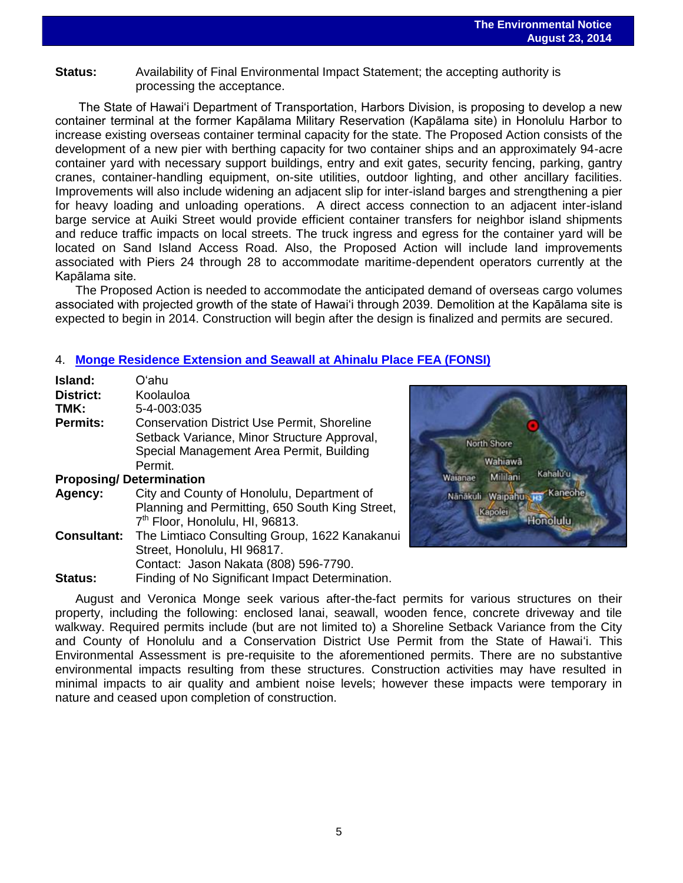## **Status:** Availability of Final Environmental Impact Statement; the accepting authority is processing the acceptance.

The State of Hawai'i Department of Transportation, Harbors Division, is proposing to develop a new container terminal at the former Kapālama Military Reservation (Kapālama site) in Honolulu Harbor to increase existing overseas container terminal capacity for the state. The Proposed Action consists of the development of a new pier with berthing capacity for two container ships and an approximately 94-acre container yard with necessary support buildings, entry and exit gates, security fencing, parking, gantry cranes, container-handling equipment, on-site utilities, outdoor lighting, and other ancillary facilities. Improvements will also include widening an adjacent slip for inter-island barges and strengthening a pier for heavy loading and unloading operations. A direct access connection to an adjacent inter-island barge service at Auiki Street would provide efficient container transfers for neighbor island shipments and reduce traffic impacts on local streets. The truck ingress and egress for the container yard will be located on Sand Island Access Road. Also, the Proposed Action will include land improvements associated with Piers 24 through 28 to accommodate maritime-dependent operators currently at the Kapālama site.

The Proposed Action is needed to accommodate the anticipated demand of overseas cargo volumes associated with projected growth of the state of Hawai'i through 2039. Demolition at the Kapālama site is expected to begin in 2014. Construction will begin after the design is finalized and permits are secured.

### 4. **[Monge Residence Extension and Seawall at Ahinalu Place FEA \(FONSI\)](http://oeqc.doh.hawaii.gov/Shared%20Documents/EA_and_EIS_Online_Library/Oahu/2010s/2014-08-23-OA-5B-Monge-Residence-Lanai-Enclosure-And-Seawall-At-Ahinalu-Place.pdf)**

| Island:<br><b>District:</b>    | Oʻahu<br>Koolauloa                                 |
|--------------------------------|----------------------------------------------------|
| TMK:                           | $5 - 4 - 003:035$                                  |
| <b>Permits:</b>                | <b>Conservation District Use Permit, Shoreline</b> |
|                                | Setback Variance, Minor Structure Approval,        |
|                                | Special Management Area Permit, Building           |
|                                | Permit.                                            |
| <b>Proposing/Determination</b> |                                                    |
| Agency:                        | City and County of Honolulu, Department of         |
|                                | Planning and Permitting, 650 South King Street,    |
|                                | 7 <sup>th</sup> Floor, Honolulu, HI, 96813.        |
| <b>Consultant:</b>             | The Limtiaco Consulting Group, 1622 Kanakanui      |
|                                | Street, Honolulu, HI 96817.                        |
|                                | Contact: Jason Nakata (808) 596-7790.              |

**Status:** Finding of No Significant Impact Determination.



August and Veronica Monge seek various after-the-fact permits for various structures on their property, including the following: enclosed lanai, seawall, wooden fence, concrete driveway and tile walkway. Required permits include (but are not limited to) a Shoreline Setback Variance from the City and County of Honolulu and a Conservation District Use Permit from the State of Hawaiʻi. This Environmental Assessment is pre-requisite to the aforementioned permits. There are no substantive environmental impacts resulting from these structures. Construction activities may have resulted in minimal impacts to air quality and ambient noise levels; however these impacts were temporary in nature and ceased upon completion of construction.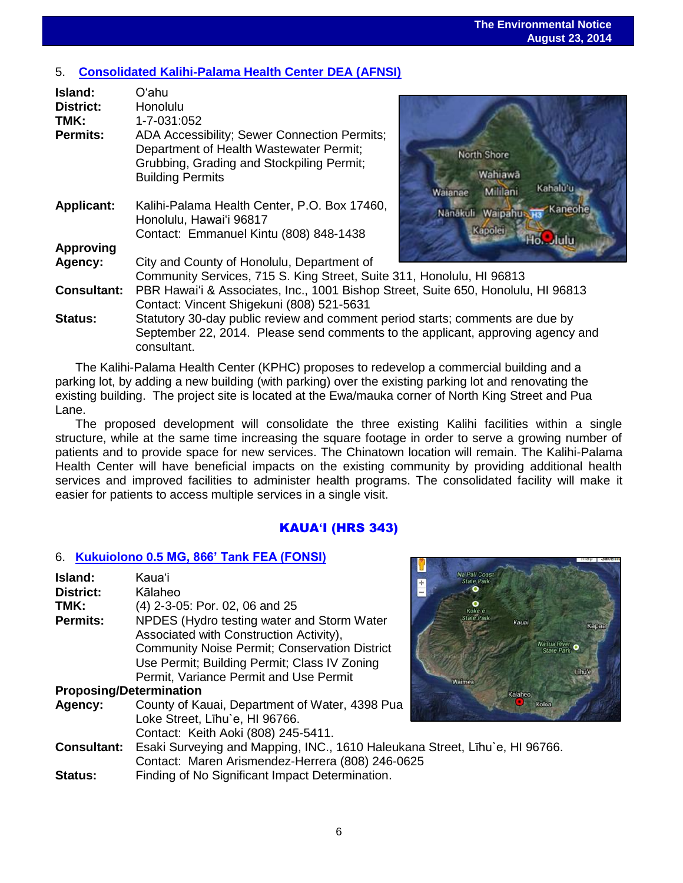## 5. **[Consolidated Kalihi-Palama Health Center DEA \(AFNSI\)](http://oeqc.doh.hawaii.gov/Shared%20Documents/EA_and_EIS_Online_Library/Oahu/2010s/2014-08-23-5B-DEA-AFNSI-Kalihi-Palama-Health-Center.pdf)**

| Island:            | Oʻahu                                                                                                                                                           |                                                            |  |
|--------------------|-----------------------------------------------------------------------------------------------------------------------------------------------------------------|------------------------------------------------------------|--|
| <b>District:</b>   | Honolulu                                                                                                                                                        |                                                            |  |
| TMK:               | 1-7-031:052                                                                                                                                                     |                                                            |  |
| <b>Permits:</b>    | ADA Accessibility; Sewer Connection Permits;<br>Department of Health Wastewater Permit;<br>Grubbing, Grading and Stockpiling Permit;<br><b>Building Permits</b> | North Shore<br>Wahiawā<br>Kahalu'u<br>Millilani<br>Walanae |  |
| <b>Applicant:</b>  | Kalihi-Palama Health Center, P.O. Box 17460,<br>Honolulu, Hawai'i 96817<br>Contact: Emmanuel Kintu (808) 848-1438                                               | Kaneohe<br>Nanakuli Waipahus<br>Kapolei<br>lulu            |  |
| <b>Approving</b>   |                                                                                                                                                                 |                                                            |  |
| Agency:            | City and County of Honolulu, Department of                                                                                                                      |                                                            |  |
|                    | Community Services, 715 S. King Street, Suite 311, Honolulu, HI 96813                                                                                           |                                                            |  |
| <b>Consultant:</b> | PBR Hawai'i & Associates, Inc., 1001 Bishop Street, Suite 650, Honolulu, HI 96813<br>Contact: Vincent Shigekuni (808) 521-5631                                  |                                                            |  |
| Status:            | Statutory 30-day public review and comment period starts; comments are due by                                                                                   |                                                            |  |
|                    | September 22, 2014. Please send comments to the applicant, approving agency and<br>consultant.                                                                  |                                                            |  |

The Kalihi-Palama Health Center (KPHC) proposes to redevelop a commercial building and a parking lot, by adding a new building (with parking) over the existing parking lot and renovating the existing building. The project site is located at the Ewa/mauka corner of North King Street and Pua Lane.

The proposed development will consolidate the three existing Kalihi facilities within a single structure, while at the same time increasing the square footage in order to serve a growing number of patients and to provide space for new services. The Chinatown location will remain. The Kalihi-Palama Health Center will have beneficial impacts on the existing community by providing additional health services and improved facilities to administer health programs. The consolidated facility will make it easier for patients to access multiple services in a single visit.

## KAUA**'**I (HRS 343)

NÓ.

### 6. **Kukuiolono 0.5 [MG, 866' Tank FEA \(FONSI\)](http://oeqc.doh.hawaii.gov/Shared%20Documents/EA_and_EIS_Online_Library/Kauai/2010s/2014-08-23-KA-5B-FEA-Kukuiolono-0.5-MG-866-Tank.pdf)**

| Island:                        | Kaua'i                                                                      | Na Pali Coast<br><b>State Park</b> |
|--------------------------------|-----------------------------------------------------------------------------|------------------------------------|
| District:                      | Kālaheo                                                                     |                                    |
| TMK:                           | (4) 2-3-05: Por. 02, 06 and 25                                              |                                    |
| Permits:                       | NPDES (Hydro testing water and Storm Water                                  | Kaua                               |
|                                | Associated with Construction Activity),                                     |                                    |
|                                | <b>Community Noise Permit; Conservation District</b>                        | <b>Wailua Rit</b><br>State P       |
|                                | Use Permit; Building Permit; Class IV Zoning                                |                                    |
|                                | Permit, Variance Permit and Use Permit                                      | Waimea                             |
| <b>Proposing/Determination</b> |                                                                             | Kalaheo                            |
| Agency:                        | County of Kauai, Department of Water, 4398 Pua                              |                                    |
|                                | Loke Street, Līhu'e, HI 96766.                                              |                                    |
|                                | Contact: Keith Aoki (808) 245-5411.                                         |                                    |
| <b>Consultant:</b>             | Esaki Surveying and Mapping, INC., 1610 Haleukana Street, Līhu`e, HI 96766. |                                    |
|                                | Contact: Maren Arismendez-Herrera (808) 246-0625                            |                                    |
| <b>Status:</b>                 | Finding of No Significant Impact Determination.                             |                                    |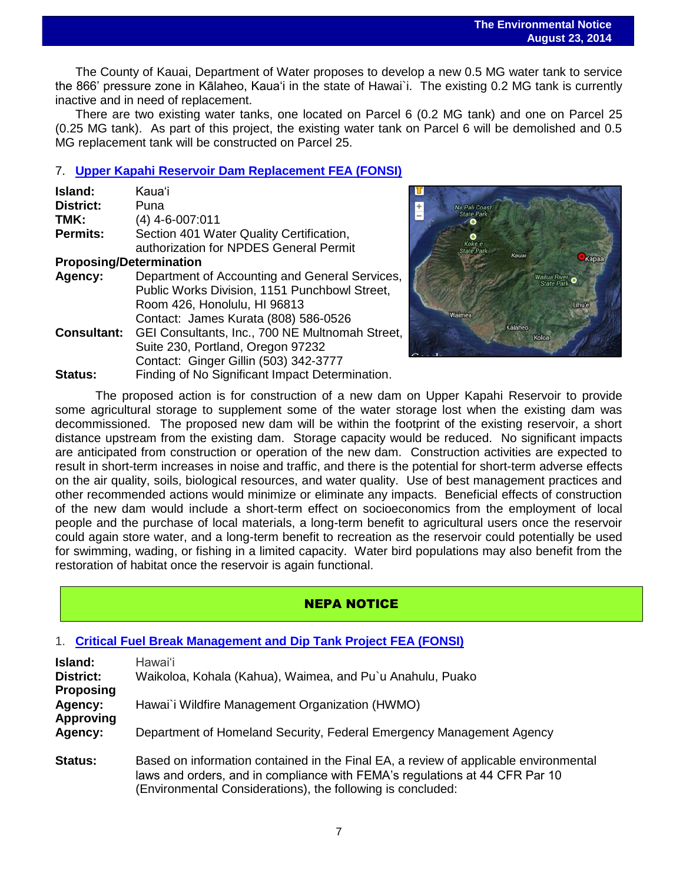The County of Kauai, Department of Water proposes to develop a new 0.5 MG water tank to service the 866' pressure zone in Kālaheo, Kaua'i in the state of Hawai`i. The existing 0.2 MG tank is currently inactive and in need of replacement.

There are two existing water tanks, one located on Parcel 6 (0.2 MG tank) and one on Parcel 25 (0.25 MG tank). As part of this project, the existing water tank on Parcel 6 will be demolished and 0.5 MG replacement tank will be constructed on Parcel 25.

## 7. **[Upper Kapahi Reservoir Dam Replacement FEA \(FONSI\)](http://oeqc.doh.hawaii.gov/Shared%20Documents/EA_and_EIS_Online_Library/Kauai/2010s/2014-08-23-KA-5B-FEA-Upper-Kapahi-Reservoir-Dam.pdf)**

| Island:                                                   | Kaua'i                                          |
|-----------------------------------------------------------|-------------------------------------------------|
| <b>District:</b>                                          | Puna                                            |
| TMK:                                                      | $(4)$ 4-6-007:011                               |
| <b>Permits:</b>                                           | Section 401 Water Quality Certification,        |
|                                                           | authorization for NPDES General Permit          |
| <b>Proposing/Determination</b>                            |                                                 |
| Department of Accounting and General Services,<br>Agency: |                                                 |
|                                                           | Public Works Division, 1151 Punchbowl Street,   |
|                                                           | Room 426, Honolulu, HI 96813                    |
|                                                           | Contact: James Kurata (808) 586-0526            |
| <b>Consultant:</b>                                        | GEI Consultants, Inc., 700 NE Multnomah Street, |
|                                                           | Suite 230, Portland, Oregon 97232               |
|                                                           | Contact: Ginger Gillin (503) 342-3777           |
| <b>Status:</b>                                            | Finding of No Significant Impact Determination. |



The proposed action is for construction of a new dam on Upper Kapahi Reservoir to provide some agricultural storage to supplement some of the water storage lost when the existing dam was decommissioned. The proposed new dam will be within the footprint of the existing reservoir, a short distance upstream from the existing dam. Storage capacity would be reduced. No significant impacts are anticipated from construction or operation of the new dam. Construction activities are expected to result in short-term increases in noise and traffic, and there is the potential for short-term adverse effects on the air quality, soils, biological resources, and water quality. Use of best management practices and other recommended actions would minimize or eliminate any impacts. Beneficial effects of construction of the new dam would include a short-term effect on socioeconomics from the employment of local people and the purchase of local materials, a long-term benefit to agricultural users once the reservoir could again store water, and a long-term benefit to recreation as the reservoir could potentially be used for swimming, wading, or fishing in a limited capacity. Water bird populations may also benefit from the restoration of habitat once the reservoir is again functional.

## NEPA NOTICE

### 1. **[Critical Fuel Break Management and Dip Tank Project FEA \(FONSI\)](http://www.fema.gov/media-library-data/1407256815321-eeff22bf021813225aecacb864a3b13d/HMGP_12-J-005_EnvironmentalAssessment_FINAL_07%2024%202014.pdf)**

| Island:<br><b>District:</b><br><b>Proposing</b><br>Agency:<br><b>Approving</b><br>Agency: | Hawaiʻi<br>Waikoloa, Kohala (Kahua), Waimea, and Pu'u Anahulu, Puako<br>Hawai'i Wildfire Management Organization (HWMO)                                                                                                            |
|-------------------------------------------------------------------------------------------|------------------------------------------------------------------------------------------------------------------------------------------------------------------------------------------------------------------------------------|
|                                                                                           | Department of Homeland Security, Federal Emergency Management Agency                                                                                                                                                               |
| <b>Status:</b>                                                                            | Based on information contained in the Final EA, a review of applicable environmental<br>laws and orders, and in compliance with FEMA's regulations at 44 CFR Par 10<br>(Environmental Considerations), the following is concluded: |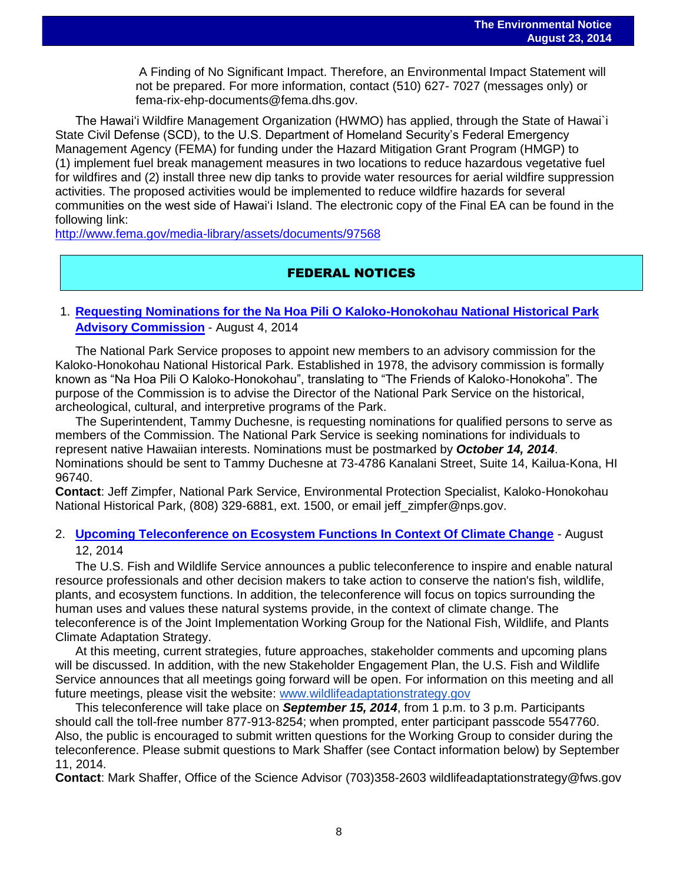A Finding of No Significant Impact. Therefore, an Environmental Impact Statement will not be prepared. For more information, contact (510) 627- 7027 (messages only) or fema-rix-ehp-documents@fema.dhs.gov.

The Hawai'i Wildfire Management Organization (HWMO) has applied, through the State of Hawai`i State Civil Defense (SCD), to the U.S. Department of Homeland Security's Federal Emergency Management Agency (FEMA) for funding under the Hazard Mitigation Grant Program (HMGP) to (1) implement fuel break management measures in two locations to reduce hazardous vegetative fuel for wildfires and (2) install three new dip tanks to provide water resources for aerial wildfire suppression activities. The proposed activities would be implemented to reduce wildfire hazards for several communities on the west side of Hawai'i Island. The electronic copy of the Final EA can be found in the following link:

<http://www.fema.gov/media-library/assets/documents/97568>

## FEDERAL NOTICES

## 1. **[Requesting Nominations for the Na Hoa Pili O Kaloko-Honokohau National Historical Park](http://www.gpo.gov/fdsys/pkg/FR-2014-08-14/pdf/2014-19229.pdf)  [Advisory Commission](http://www.gpo.gov/fdsys/pkg/FR-2014-08-14/pdf/2014-19229.pdf)** - August 4, 2014

The National Park Service proposes to appoint new members to an advisory commission for the Kaloko-Honokohau National Historical Park. Established in 1978, the advisory commission is formally known as "Na Hoa Pili O Kaloko-Honokohau", translating to "The Friends of Kaloko-Honokoha". The purpose of the Commission is to advise the Director of the National Park Service on the historical, archeological, cultural, and interpretive programs of the Park.

The Superintendent, Tammy Duchesne, is requesting nominations for qualified persons to serve as members of the Commission. The National Park Service is seeking nominations for individuals to represent native Hawaiian interests. Nominations must be postmarked by *October 14, 2014*. Nominations should be sent to Tammy Duchesne at 73-4786 Kanalani Street, Suite 14, Kailua-Kona, HI 96740.

**Contact**: Jeff Zimpfer, National Park Service, Environmental Protection Specialist, Kaloko-Honokohau National Historical Park, (808) 329-6881, ext. 1500, or email jeff\_zimpfer@nps.gov.

## 2. **[Upcoming Teleconference on Ecosystem Functions In Context Of Climate Change](http://www.gpo.gov/fdsys/pkg/FR-2014-08-20/pdf/2014-19761.pdf)** - August 12, 2014

The U.S. Fish and Wildlife Service announces a public teleconference to inspire and enable natural resource professionals and other decision makers to take action to conserve the nation's fish, wildlife, plants, and ecosystem functions. In addition, the teleconference will focus on topics surrounding the human uses and values these natural systems provide, in the context of climate change. The teleconference is of the Joint Implementation Working Group for the National Fish, Wildlife, and Plants Climate Adaptation Strategy.

At this meeting, current strategies, future approaches, stakeholder comments and upcoming plans will be discussed. In addition, with the new Stakeholder Engagement Plan, the U.S. Fish and Wildlife Service announces that all meetings going forward will be open. For information on this meeting and all future meetings, please visit the website: [www.wildlifeadaptationstrategy.gov](http://www.wildlifeadaptationstrategy.gov/) 

This teleconference will take place on *September 15, 2014*, from 1 p.m. to 3 p.m. Participants should call the toll-free number 877-913-8254; when prompted, enter participant passcode 5547760. Also, the public is encouraged to submit written questions for the Working Group to consider during the teleconference. Please submit questions to Mark Shaffer (see Contact information below) by September 11, 2014.

**Contact**: Mark Shaffer, Office of the Science Advisor (703)358-2603 wildlifeadaptationstrategy@fws.gov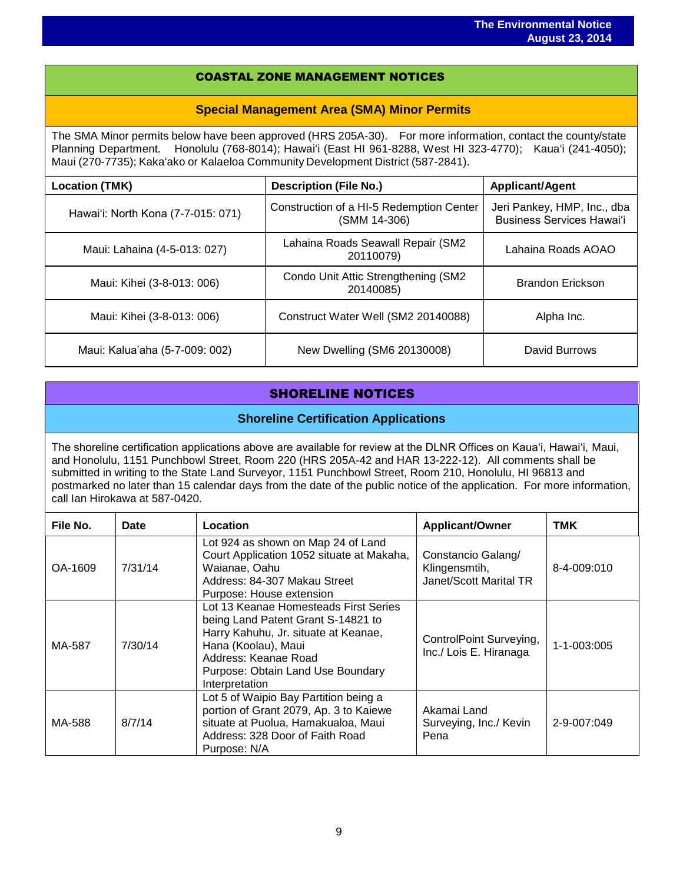### COASTAL ZONE MANAGEMENT NOTICES

#### **Special Management Area (SMA) Minor Permits**

The SMA Minor permits below have been approved (HRS 205A-30). For more information, contact the county/state Planning Department. Honolulu (768-8014); Hawaiʻi (East HI 961-8288, West HI 323-4770); Kauaʻi (241-4050); Maui (270-7735); Kakaʻako or Kalaeloa Community Development District (587-2841).

| <b>Location (TMK)</b>              | <b>Description (File No.)</b>                            | <b>Applicant/Agent</b>                                          |  |
|------------------------------------|----------------------------------------------------------|-----------------------------------------------------------------|--|
| Hawai'i: North Kona (7-7-015: 071) | Construction of a HI-5 Redemption Center<br>(SMM 14-306) | Jeri Pankey, HMP, Inc., dba<br><b>Business Services Hawai'i</b> |  |
| Maui: Lahaina (4-5-013: 027)       | Lahaina Roads Seawall Repair (SM2<br>20110079)           | Lahaina Roads AOAO                                              |  |
| Maui: Kihei (3-8-013: 006)         | Condo Unit Attic Strengthening (SM2<br>20140085)         | Brandon Erickson                                                |  |
| Maui: Kihei (3-8-013: 006)         | Construct Water Well (SM2 20140088)                      | Alpha Inc.                                                      |  |
| Maui: Kalua'aha (5-7-009: 002)     | New Dwelling (SM6 20130008)                              | David Burrows                                                   |  |

## SHORELINE NOTICES

### **Shoreline Certification Applications**

The shoreline certification applications above are available for review at the DLNR Offices on Kauaʻi, Hawaiʻi, Maui, and Honolulu, 1151 Punchbowl Street, Room 220 (HRS 205A-42 and HAR 13-222-12). All comments shall be submitted in writing to the State Land Surveyor, 1151 Punchbowl Street, Room 210, Honolulu, HI 96813 and postmarked no later than 15 calendar days from the date of the public notice of the application. For more information, call Ian Hirokawa at 587-0420.

| File No. | Date    | Location                                                                                                                                                                                                                  | <b>Applicant/Owner</b>                                        | <b>TMK</b>  |
|----------|---------|---------------------------------------------------------------------------------------------------------------------------------------------------------------------------------------------------------------------------|---------------------------------------------------------------|-------------|
| OA-1609  | 7/31/14 | Lot 924 as shown on Map 24 of Land<br>Court Application 1052 situate at Makaha,<br>Waianae, Oahu<br>Address: 84-307 Makau Street<br>Purpose: House extension                                                              | Constancio Galang/<br>Klingensmtih,<br>Janet/Scott Marital TR | 8-4-009:010 |
| MA-587   | 7/30/14 | Lot 13 Keanae Homesteads First Series<br>being Land Patent Grant S-14821 to<br>Harry Kahuhu, Jr. situate at Keanae,<br>Hana (Koolau), Maui<br>Address: Keanae Road<br>Purpose: Obtain Land Use Boundary<br>Interpretation | ControlPoint Surveying,<br>Inc./ Lois E. Hiranaga             | 1-1-003:005 |
| MA-588   | 8/7/14  | Lot 5 of Waipio Bay Partition being a<br>portion of Grant 2079, Ap. 3 to Kaiewe<br>situate at Puolua, Hamakualoa, Maui<br>Address: 328 Door of Faith Road<br>Purpose: N/A                                                 | Akamai Land<br>Surveying, Inc./ Kevin<br>Pena                 | 2-9-007:049 |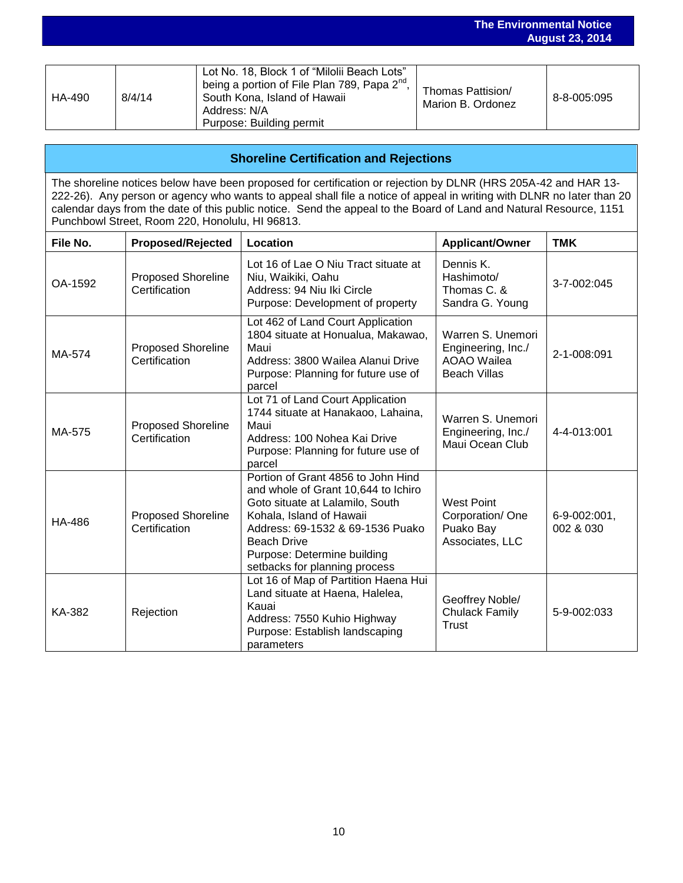|        |        |                                                                                                                               |                                        | <b>August 23, 2014</b> |  |
|--------|--------|-------------------------------------------------------------------------------------------------------------------------------|----------------------------------------|------------------------|--|
|        |        | Lot No. 18, Block 1 of "Milolii Beach Lots"                                                                                   |                                        |                        |  |
| HA-490 | 8/4/14 | being a portion of File Plan 789, Papa $2^{nd}$ ,<br>South Kona, Island of Hawaii<br>Address: N/A<br>Purpose: Building permit | Thomas Pattision/<br>Marion B. Ordonez | 8-8-005:095            |  |

**The Environmental Notice**

| <b>Shoreline Certification and Rejections</b>                                                                                                                                                                                                                                                                                                                                                                    |                                            |                                                                                                                                                                                                                                                                    |                                                                                      |                           |  |  |  |
|------------------------------------------------------------------------------------------------------------------------------------------------------------------------------------------------------------------------------------------------------------------------------------------------------------------------------------------------------------------------------------------------------------------|--------------------------------------------|--------------------------------------------------------------------------------------------------------------------------------------------------------------------------------------------------------------------------------------------------------------------|--------------------------------------------------------------------------------------|---------------------------|--|--|--|
| The shoreline notices below have been proposed for certification or rejection by DLNR (HRS 205A-42 and HAR 13-<br>222-26). Any person or agency who wants to appeal shall file a notice of appeal in writing with DLNR no later than 20<br>calendar days from the date of this public notice. Send the appeal to the Board of Land and Natural Resource, 1151<br>Punchbowl Street, Room 220, Honolulu, HI 96813. |                                            |                                                                                                                                                                                                                                                                    |                                                                                      |                           |  |  |  |
| File No.                                                                                                                                                                                                                                                                                                                                                                                                         | <b>Proposed/Rejected</b>                   | Location                                                                                                                                                                                                                                                           | <b>Applicant/Owner</b>                                                               | <b>TMK</b>                |  |  |  |
| OA-1592                                                                                                                                                                                                                                                                                                                                                                                                          | <b>Proposed Shoreline</b><br>Certification | Lot 16 of Lae O Niu Tract situate at<br>Niu, Waikiki, Oahu<br>Address: 94 Niu Iki Circle<br>Purpose: Development of property                                                                                                                                       | Dennis K.<br>Hashimoto/<br>Thomas C. &<br>Sandra G. Young                            | 3-7-002:045               |  |  |  |
| MA-574                                                                                                                                                                                                                                                                                                                                                                                                           | <b>Proposed Shoreline</b><br>Certification | Lot 462 of Land Court Application<br>1804 situate at Honualua, Makawao,<br>Maui<br>Address: 3800 Wailea Alanui Drive<br>Purpose: Planning for future use of<br>parcel                                                                                              | Warren S. Unemori<br>Engineering, Inc./<br><b>AOAO Wailea</b><br><b>Beach Villas</b> | 2-1-008:091               |  |  |  |
| MA-575                                                                                                                                                                                                                                                                                                                                                                                                           | <b>Proposed Shoreline</b><br>Certification | Lot 71 of Land Court Application<br>1744 situate at Hanakaoo, Lahaina,<br>Maui<br>Address: 100 Nohea Kai Drive<br>Purpose: Planning for future use of<br>parcel                                                                                                    | Warren S. Unemori<br>Engineering, Inc./<br>Maui Ocean Club                           | 4-4-013:001               |  |  |  |
| HA-486                                                                                                                                                                                                                                                                                                                                                                                                           | <b>Proposed Shoreline</b><br>Certification | Portion of Grant 4856 to John Hind<br>and whole of Grant 10,644 to Ichiro<br>Goto situate at Lalamilo, South<br>Kohala, Island of Hawaii<br>Address: 69-1532 & 69-1536 Puako<br><b>Beach Drive</b><br>Purpose: Determine building<br>setbacks for planning process | <b>West Point</b><br>Corporation/One<br>Puako Bay<br>Associates, LLC                 | 6-9-002:001,<br>002 & 030 |  |  |  |
| KA-382                                                                                                                                                                                                                                                                                                                                                                                                           | Rejection                                  | Lot 16 of Map of Partition Haena Hui<br>Land situate at Haena, Halelea,<br>Kauai<br>Address: 7550 Kuhio Highway<br>Purpose: Establish landscaping<br>parameters                                                                                                    | Geoffrey Noble/<br><b>Chulack Family</b><br><b>Trust</b>                             | 5-9-002:033               |  |  |  |